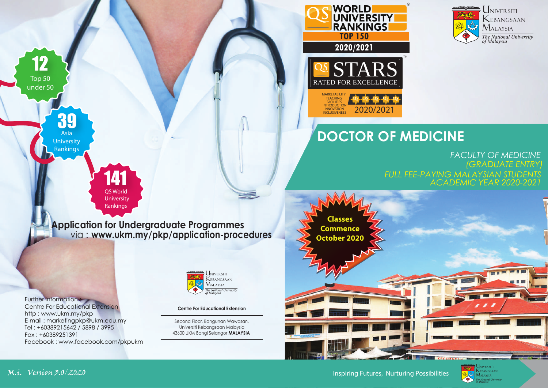

## **DOCTOR OF MEDICINE**

2020/2021

**RANKINGS** 

WORLD<br>UNIVERSITY

 **2020/2021**

RATED FOR EXCELLENCI

**MARKETABILITY** TEACHING<br>FACILITIES INTRODUCTION **INNOVATION**<br>INCLUSIVENES

> *FACULTY OF MEDICINE ACADEMIC YEAR 2020-2021 (GRADUATE ENTRY) FULL FEE-PAYING MALAYSIAN STUDENTS*



Inspiring Futures, Nurturing Possibilities



Further information : Centre For Educational Extension http : www.ukm.my/pkp E-mail : marketingpkp@ukm.edu.my Tel : +60389215642 / 5898 / 3995 Fax : +60389251391

39 Asia **University** Rankings

12 Top 50 under 50

Facebook : www.facebook.com/pkpukm

141 QS World University Rankings

**Application for Undergraduate Programmes**

via : **www.ukm.my/pkp/application-procedures**



### **Centre For Educational Extension**

Second Floor, Bangunan Wawasan, Universiti Kebangsaan Malaysia 43600 UKM Bangi Selangor **MALAYSIA**